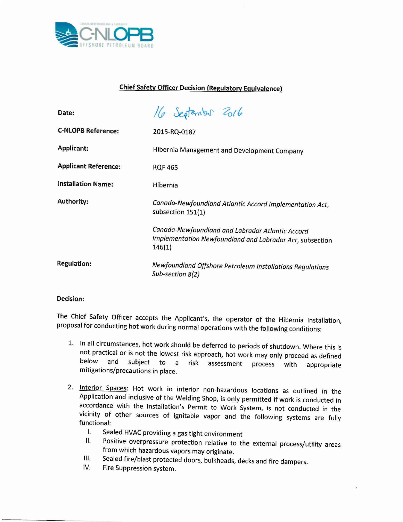

## **Chief Safety Officer Decision (Regulatory Equivalence)**

| Date:                       | 16 September 2016                                                                                                      |
|-----------------------------|------------------------------------------------------------------------------------------------------------------------|
| <b>C-NLOPB Reference:</b>   | 2015-RQ-0187                                                                                                           |
| <b>Applicant:</b>           | Hibernia Management and Development Company                                                                            |
| <b>Applicant Reference:</b> | <b>RQF 465</b>                                                                                                         |
| <b>Installation Name:</b>   | Hibernia                                                                                                               |
| <b>Authority:</b>           | Canada-Newfoundland Atlantic Accord Implementation Act,<br>subsection 151(1)                                           |
|                             | Canada-Newfoundland and Labrador Atlantic Accord<br>Implementation Newfoundland and Labrador Act, subsection<br>146(1) |
| <b>Regulation:</b>          | Newfoundland Offshore Petroleum Installations Regulations<br>Sub-section 8(2)                                          |

## **Decision:**

The Chief Safety Officer accepts the Applicant's, the operator of the Hibernia Installation, proposal for conducting hot work during normal operations with the following conditions:

- 1. In all circumstances, hot work should be deferred to periods of shutdown. Where this is not practical or is not the lowest risk approach, hot work may only proceed as defined<br>below and subject to a risk assessment process with appropriate subject to a risk assessment process with appropriate mitigations/precautions in place.
- 2. Interior Spaces: Hot work in interior non-hazardous locations as outlined in the Application and inclusive of the Welding Shop, is only permitted if work is conducted in accordance with the Installation's Permit to Work System, is not conducted in the vicinity of other sources of ignitable vapor and the following systems are fully functional:
	- I. Sealed HVAC providing a gas tight environment
	- II. Positive overpressure protection relative to the external process/utility areas from which hazardous vapors may originate.
	- III. Sealed fire/blast protected doors, bulkheads, decks and fire dampers.
	- IV. Fire Suppression system.